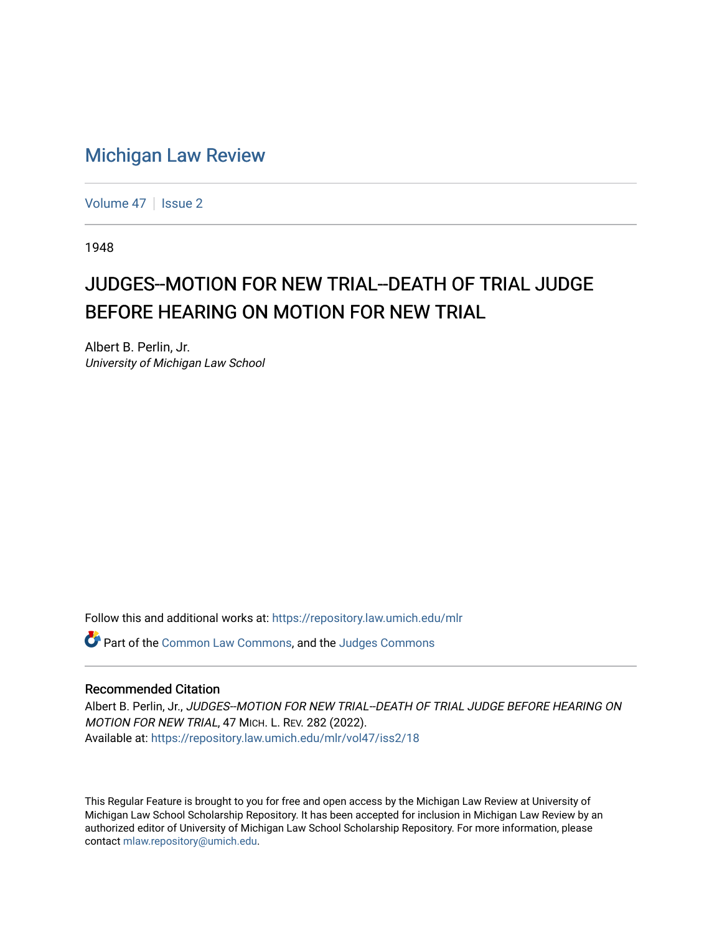## [Michigan Law Review](https://repository.law.umich.edu/mlr)

[Volume 47](https://repository.law.umich.edu/mlr/vol47) | [Issue 2](https://repository.law.umich.edu/mlr/vol47/iss2)

1948

## JUDGES--MOTION FOR NEW TRIAL--DEATH OF TRIAL JUDGE BEFORE HEARING ON MOTION FOR NEW TRIAL

Albert B. Perlin, Jr. University of Michigan Law School

Follow this and additional works at: [https://repository.law.umich.edu/mlr](https://repository.law.umich.edu/mlr?utm_source=repository.law.umich.edu%2Fmlr%2Fvol47%2Fiss2%2F18&utm_medium=PDF&utm_campaign=PDFCoverPages) 

Part of the [Common Law Commons,](http://network.bepress.com/hgg/discipline/1120?utm_source=repository.law.umich.edu%2Fmlr%2Fvol47%2Fiss2%2F18&utm_medium=PDF&utm_campaign=PDFCoverPages) and the [Judges Commons](http://network.bepress.com/hgg/discipline/849?utm_source=repository.law.umich.edu%2Fmlr%2Fvol47%2Fiss2%2F18&utm_medium=PDF&utm_campaign=PDFCoverPages) 

## Recommended Citation

Albert B. Perlin, Jr., JUDGES--MOTION FOR NEW TRIAL--DEATH OF TRIAL JUDGE BEFORE HEARING ON MOTION FOR NEW TRIAL, 47 MICH. L. REV. 282 (2022). Available at: [https://repository.law.umich.edu/mlr/vol47/iss2/18](https://repository.law.umich.edu/mlr/vol47/iss2/18?utm_source=repository.law.umich.edu%2Fmlr%2Fvol47%2Fiss2%2F18&utm_medium=PDF&utm_campaign=PDFCoverPages) 

This Regular Feature is brought to you for free and open access by the Michigan Law Review at University of Michigan Law School Scholarship Repository. It has been accepted for inclusion in Michigan Law Review by an authorized editor of University of Michigan Law School Scholarship Repository. For more information, please contact [mlaw.repository@umich.edu](mailto:mlaw.repository@umich.edu).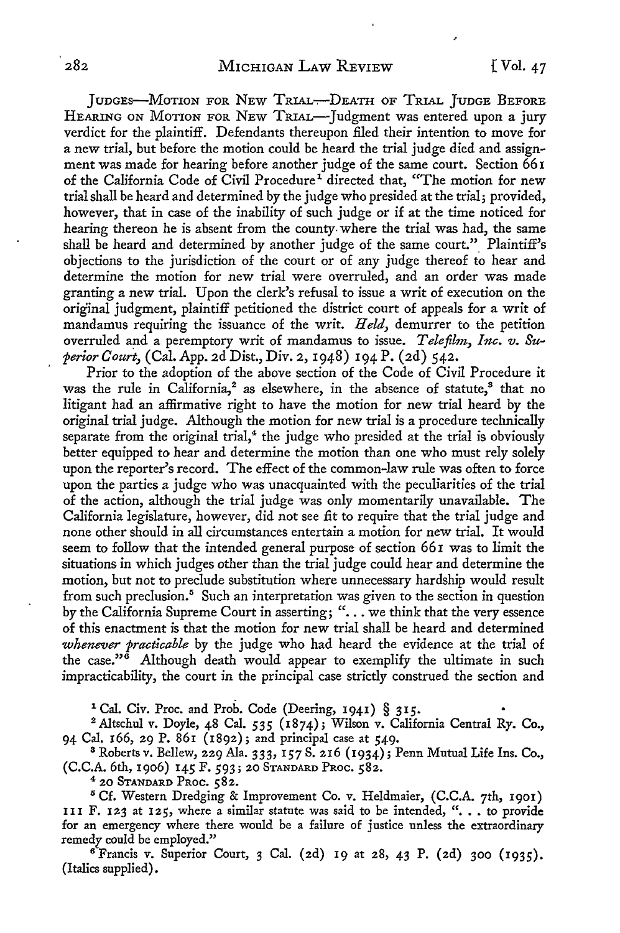JUDGES-MOTION FOR NEW TRIAL-DEATH OF TRIAL JUDGE BEFORE HEARING ON MOTION FOR NEW TRIAL-Judgment was entered upon a jury verdict for the plaintiff. Defendants thereupon filed their intention to move for a new trial, but before the motion could be heard the trial judge died and assignment was made for hearing before another judge of the same court. Section 66 I of the California Code of Civil Procedure<sup>1</sup> directed that, "The motion for new trial shall be heard and determined by the judge who presided at the trial; provided, however, that in case of the inability of such judge or if at the time noticed for hearing thereon he is absent from the county- where the trial was had, the same shall be heard and determined by another judge of the same court." Plaintiff's objections to the jurisdiction of the court or of any judge thereof to hear and determine the motion for new trial were overruled, and an order was made granting a new trial. Upon the clerk's refusal to issue a writ of execution on the original judgment, plaintiff petitioned the district court of appeals for a writ of mandamus requiring the issuance of the writ. *Held,* demurrer to the petition overruled and a peremptory writ of mandamus to issue. *Telefilm, Inc. v. Superior Court,* (Cal. App. 2d Dist., Div. 2, 1948) 194 P. (2d) 542.

Prior to the adoption of the above section of the Code of Civil Procedure it was the rule in California,<sup>2</sup> as elsewhere, in the absence of statute,<sup>8</sup> that no litigant had an affirmative right to have the motion for new trial heard by the original trial judge. Although the motion for new trial is a procedure technically separate from the original trial, $4$  the judge who presided at the trial is obviously better equipped to hear and determine the motion than one who must rely solely upon the reporter's record. The effect of the common-law rule was often to force upon the parties a judge who was unacquainted with the peculiarities of the trial of the action, although the trial judge was only momentarily unavailable. The California legislature, however, did not see fit to require that the trial judge and none other should in all circumstances entertain a motion for new trial. It would seem to follow that the intended general purpose of section 661 was to limit the situations in which judges other than the trial judge could hear and determine the motion, but not to preclude substitution where unnecessary hardship would result from such preclusion.<sup>5</sup> Such an interpretation was given to the section in question by the California Supreme Court in asserting; "... we think that the very essence of this enactment is that the motion for new trial shall be heard and determined *whenever practicable* by the judge who had heard the evidence at the trial of the case." $^{\circ}$  Although death would appear to exemplify the ultimate in such impracticability, the court in the principal case strictly construed the section and

<sup>1</sup> Cal. Civ. Proc. and Prob. Code (Deering, 1941) § 315.

<sup>2</sup>Altschul *v.* Doyle, 48 Cal. *535* (1874); Wilson *v.* California Central Ry. Co., 94 Cal. 166, 29 P. 861 (1892); and principal case at 549.

<sup>3</sup>Roberts *v.* Bellew, 229 Ala. 333, 157 S. 216 (1934); Penn Mutual Life Ins. Co., (C.C.A. 6th, 1906) 145 F. 593; 20 STANDARD PROC. 582.

4 20 STANDARD PROC. 582.

<sup>5</sup> Cf. Western Dredging & Improvement Co. v. Heldmaier, (C.C.A. 7th, 1901) III F. 123 at 125, where a similar statute was said to be intended, "... to provide for an emergency where there would be a failure of justice unless the extraordinary remedy could be employed."

<sup>6</sup>Francis *v.* Superior Court, 3 Cal. (2d) 19 at 28, 43 P. (2d) 300 (1935). (Italics supplied).